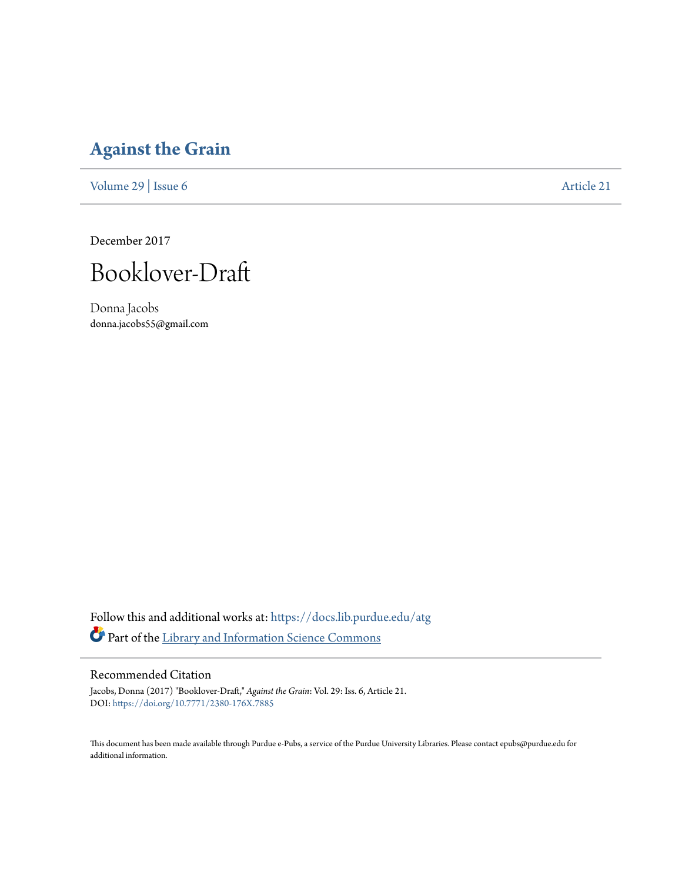### **[Against the Grain](https://docs.lib.purdue.edu/atg?utm_source=docs.lib.purdue.edu%2Fatg%2Fvol29%2Fiss6%2F21&utm_medium=PDF&utm_campaign=PDFCoverPages)**

[Volume 29](https://docs.lib.purdue.edu/atg/vol29?utm_source=docs.lib.purdue.edu%2Fatg%2Fvol29%2Fiss6%2F21&utm_medium=PDF&utm_campaign=PDFCoverPages) | [Issue 6](https://docs.lib.purdue.edu/atg/vol29/iss6?utm_source=docs.lib.purdue.edu%2Fatg%2Fvol29%2Fiss6%2F21&utm_medium=PDF&utm_campaign=PDFCoverPages) [Article 21](https://docs.lib.purdue.edu/atg/vol29/iss6/21?utm_source=docs.lib.purdue.edu%2Fatg%2Fvol29%2Fiss6%2F21&utm_medium=PDF&utm_campaign=PDFCoverPages)

December 2017



Donna Jacobs donna.jacobs55@gmail.com

Follow this and additional works at: [https://docs.lib.purdue.edu/atg](https://docs.lib.purdue.edu/atg?utm_source=docs.lib.purdue.edu%2Fatg%2Fvol29%2Fiss6%2F21&utm_medium=PDF&utm_campaign=PDFCoverPages) Part of the [Library and Information Science Commons](http://network.bepress.com/hgg/discipline/1018?utm_source=docs.lib.purdue.edu%2Fatg%2Fvol29%2Fiss6%2F21&utm_medium=PDF&utm_campaign=PDFCoverPages)

### Recommended Citation

Jacobs, Donna (2017) "Booklover-Draft," *Against the Grain*: Vol. 29: Iss. 6, Article 21. DOI: <https://doi.org/10.7771/2380-176X.7885>

This document has been made available through Purdue e-Pubs, a service of the Purdue University Libraries. Please contact epubs@purdue.edu for additional information.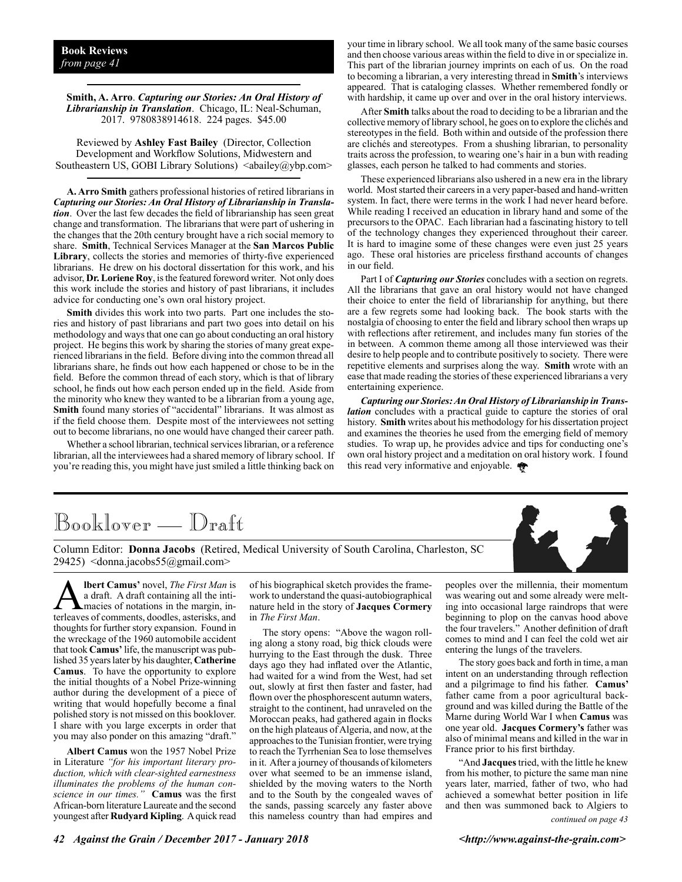#### **Smith, A. Arro**. *Capturing our Stories: An Oral History of Librarianship in Translation*.Chicago, IL: Neal-Schuman, 2017. 9780838914618. 224 pages. \$45.00

Reviewed by **Ashley Fast Bailey** (Director, Collection Development and Workflow Solutions, Midwestern and Southeastern US, GOBI Library Solutions) <abailey@ybp.com>

**A. Arro Smith** gathers professional histories of retired librarians in *Capturing our Stories: An Oral History of Librarianship in Translation*. Over the last few decades the field of librarianship has seen great change and transformation. The librarians that were part of ushering in the changes that the 20th century brought have a rich social memory to share. **Smith**, Technical Services Manager at the **San Marcos Public Library**, collects the stories and memories of thirty-five experienced librarians. He drew on his doctoral dissertation for this work, and his advisor, **Dr. Loriene Roy**, is the featured foreword writer. Not only does this work include the stories and history of past librarians, it includes advice for conducting one's own oral history project.

**Smith** divides this work into two parts. Part one includes the stories and history of past librarians and part two goes into detail on his methodology and ways that one can go about conducting an oral history project. He begins this work by sharing the stories of many great experienced librarians in the field. Before diving into the common thread all librarians share, he finds out how each happened or chose to be in the field. Before the common thread of each story, which is that of library school, he finds out how each person ended up in the field. Aside from the minority who knew they wanted to be a librarian from a young age, **Smith** found many stories of "accidental" librarians. It was almost as if the field choose them. Despite most of the interviewees not setting out to become librarians, no one would have changed their career path.

Whether a school librarian, technical services librarian, or a reference librarian, all the interviewees had a shared memory of library school. If you're reading this, you might have just smiled a little thinking back on

your time in library school. We all took many of the same basic courses and then choose various areas within the field to dive in or specialize in. This part of the librarian journey imprints on each of us. On the road to becoming a librarian, a very interesting thread in **Smith**'s interviews appeared. That is cataloging classes. Whether remembered fondly or with hardship, it came up over and over in the oral history interviews.

After **Smith** talks about the road to deciding to be a librarian and the collective memory of library school, he goes on to explore the clichés and stereotypes in the field. Both within and outside of the profession there are clichés and stereotypes. From a shushing librarian, to personality traits across the profession, to wearing one's hair in a bun with reading glasses, each person he talked to had comments and stories.

These experienced librarians also ushered in a new era in the library world. Most started their careers in a very paper-based and hand-written system. In fact, there were terms in the work I had never heard before. While reading I received an education in library hand and some of the precursors to the OPAC. Each librarian had a fascinating history to tell of the technology changes they experienced throughout their career. It is hard to imagine some of these changes were even just 25 years ago. These oral histories are priceless firsthand accounts of changes in our field.

Part I of *Capturing our Stories* concludes with a section on regrets. All the librarians that gave an oral history would not have changed their choice to enter the field of librarianship for anything, but there are a few regrets some had looking back. The book starts with the nostalgia of choosing to enter the field and library school then wraps up with reflections after retirement, and includes many fun stories of the in between. A common theme among all those interviewed was their desire to help people and to contribute positively to society. There were repetitive elements and surprises along the way. **Smith** wrote with an ease that made reading the stories of these experienced librarians a very entertaining experience.

*Capturing our Stories: An Oral History of Librarianship in Translation* concludes with a practical guide to capture the stories of oral history. **Smith** writes about his methodology for his dissertation project and examines the theories he used from the emerging field of memory studies. To wrap up, he provides advice and tips for conducting one's own oral history project and a meditation on oral history work. I found this read very informative and enjoyable.

# Booklover — Draft

Column Editor: **Donna Jacobs** (Retired, Medical University of South Carolina, Charleston, SC 29425) <donna.jacobs55@gmail.com>

**Albert Camus'** novel, *The First Man* is<br>a draft. A draft containing all the inti-<br>macies of notations in the margin, in-<br>terleaves of comments doodles asterisks and a draft. A draft containing all the intiterleaves of comments, doodles, asterisks, and thoughts for further story expansion. Found in the wreckage of the 1960 automobile accident that took **Camus'** life, the manuscript was published 35 years later by his daughter, **Catherine Camus**. To have the opportunity to explore the initial thoughts of a Nobel Prize-winning author during the development of a piece of writing that would hopefully become a final polished story is not missed on this booklover. I share with you large excerpts in order that you may also ponder on this amazing "draft."

**Albert Camus** won the 1957 Nobel Prize in Literature *"for his important literary production, which with clear-sighted earnestness illuminates the problems of the human conscience in our times."* **Camus** was the first African-born literature Laureate and the second youngest after **Rudyard Kipling**. A quick read

of his biographical sketch provides the framework to understand the quasi-autobiographical nature held in the story of **Jacques Cormery** in *The First Man*.

The story opens: "Above the wagon rolling along a stony road, big thick clouds were hurrying to the East through the dusk. Three days ago they had inflated over the Atlantic, had waited for a wind from the West, had set out, slowly at first then faster and faster, had flown over the phosphorescent autumn waters, straight to the continent, had unraveled on the Moroccan peaks, had gathered again in flocks on the high plateaus of Algeria, and now, at the approaches to the Tunisian frontier, were trying to reach the Tyrrhenian Sea to lose themselves in it. After a journey of thousands of kilometers over what seemed to be an immense island, shielded by the moving waters to the North and to the South by the congealed waves of the sands, passing scarcely any faster above this nameless country than had empires and

peoples over the millennia, their momentum was wearing out and some already were melting into occasional large raindrops that were beginning to plop on the canvas hood above the four travelers." Another definition of draft comes to mind and I can feel the cold wet air entering the lungs of the travelers.

The story goes back and forth in time, a man intent on an understanding through reflection and a pilgrimage to find his father. **Camus'**  father came from a poor agricultural background and was killed during the Battle of the Marne during World War I when **Camus** was one year old. **Jacques Cormery's** father was also of minimal means and killed in the war in France prior to his first birthday.

"And **Jacques** tried, with the little he knew from his mother, to picture the same man nine years later, married, father of two, who had achieved a somewhat better position in life and then was summoned back to Algiers to

*continued on page 43*